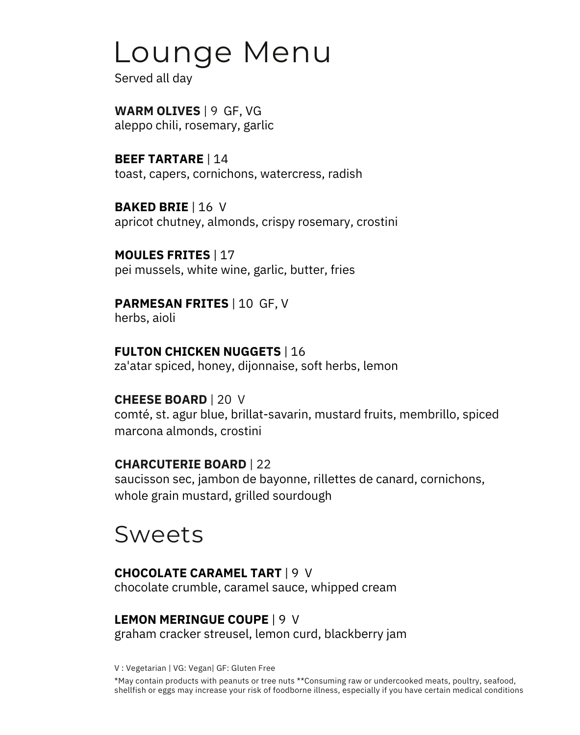# Lounge Menu

Served all day

**WARM OLIVES** | 9 GF, VG aleppo chili, rosemary, garlic

**BEEF TARTARE** | 14 toast, capers, cornichons, watercress, radish

**BAKED BRIE** | 16 V apricot chutney, almonds, crispy rosemary, crostini

**MOULES FRITES** | 17 pei mussels, white wine, garlic, butter, fries

**PARMESAN FRITES** | 10 GF, V herbs, aioli

**FULTON CHICKEN NUGGETS** | 16 za'atar spiced, honey, dijonnaise, soft herbs, lemon

**CHEESE BOARD** | 20 V comté, st. agur blue, brillat-savarin, mustard fruits, membrillo, spiced marcona almonds, crostini

**CHARCUTERIE BOARD** | 22 saucisson sec, jambon de bayonne, rillettes de canard, cornichons, whole grain mustard, grilled sourdough

# Sweets

#### **CHOCOLATE CARAMEL TART** | 9 V

chocolate crumble, caramel sauce, whipped cream

**LEMON MERINGUE COUPE** | 9 V

graham cracker streusel, lemon curd, blackberry jam

V : Vegetarian | VG: Vegan| GF: Gluten Free

\*May contain products with peanuts or tree nuts \*\*Consuming raw or undercooked meats, poultry, seafood, shellfish or eggs may increase your risk of foodborne illness, especially if you have certain medical conditions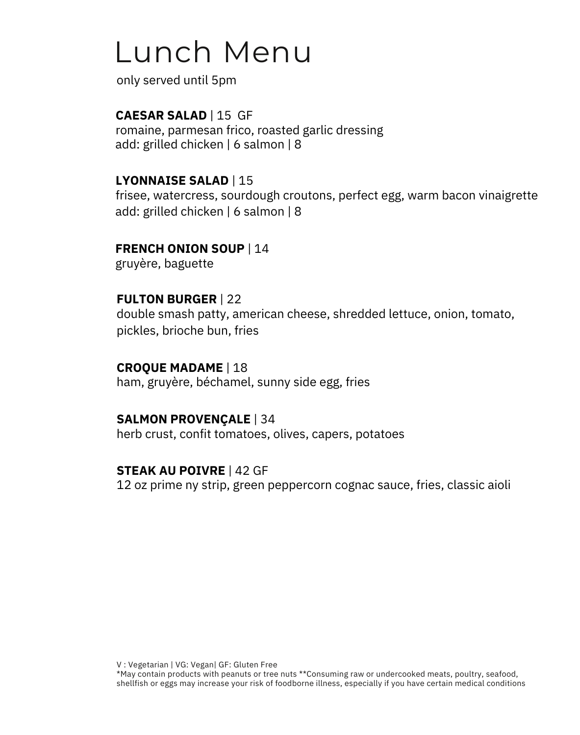# Lunch Menu

only served until 5pm

**CAESAR SALAD** | 15 GF romaine, parmesan frico, roasted garlic dressing add: grilled chicken | 6 salmon | 8

#### **LYONNAISE SALAD** | 15

frisee, watercress, sourdough croutons, perfect egg, warm bacon vinaigrette add: grilled chicken | 6 salmon | 8

#### **FRENCH ONION SOUP** | 14

gruyère, baguette

#### **FULTON BURGER** | 22

double smash patty, american cheese, shredded lettuce, onion, tomato, pickles, brioche bun, fries

#### **CROQUE MADAME** | 18

ham, gruyère, béchamel, sunny side egg, fries

#### **SALMON PROVENÇALE** | 34

herb crust, confit tomatoes, olives, capers, potatoes

#### **STEAK AU POIVRE** | 42 GF

12 oz prime ny strip, green peppercorn cognac sauce, fries, classic aioli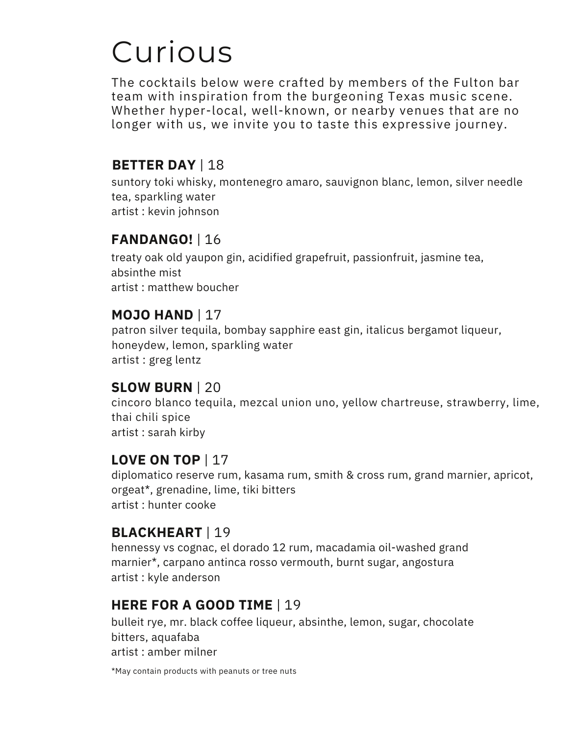# Curious

The cocktails below were crafted by members of the Fulton bar team with inspiration from the burgeoning Texas music scene. Whether hyper-local, well-known, or nearby venues that are no longer with us, we invite you to taste this expressive journey.

### **BETTER DAY** | 18

suntory toki whisky, montenegro amaro, sauvignon blanc, lemon, silver needle tea, sparkling water artist : kevin johnson

### **FANDANGO!** | 16

treaty oak old yaupon gin, acidified grapefruit, passionfruit, jasmine tea, absinthe mist artist : matthew boucher

### **MOJO HAND** | 17

patron silver tequila, bombay sapphire east gin, italicus bergamot liqueur, honeydew, lemon, sparkling water artist : greg lentz

### **SLOW BURN** | 20

cincoro blanco tequila, mezcal union uno, yellow chartreuse, strawberry, lime, thai chili spice artist : sarah kirby

### **LOVE ON TOP** | 17

diplomatico reserve rum, kasama rum, smith & cross rum, grand marnier, apricot, orgeat\*, grenadine, lime, tiki bitters artist : hunter cooke

### **BLACKHEART** | 19

hennessy vs cognac, el dorado 12 rum, macadamia oil-washed grand marnier\*, carpano antinca rosso vermouth, burnt sugar, angostura artist : kyle anderson

### **HERE FOR A GOOD TIME** | 19

bulleit rye, mr. black coffee liqueur, absinthe, lemon, sugar, chocolate bitters, aquafaba artist : amber milner

\*May contain products with peanuts or tree nuts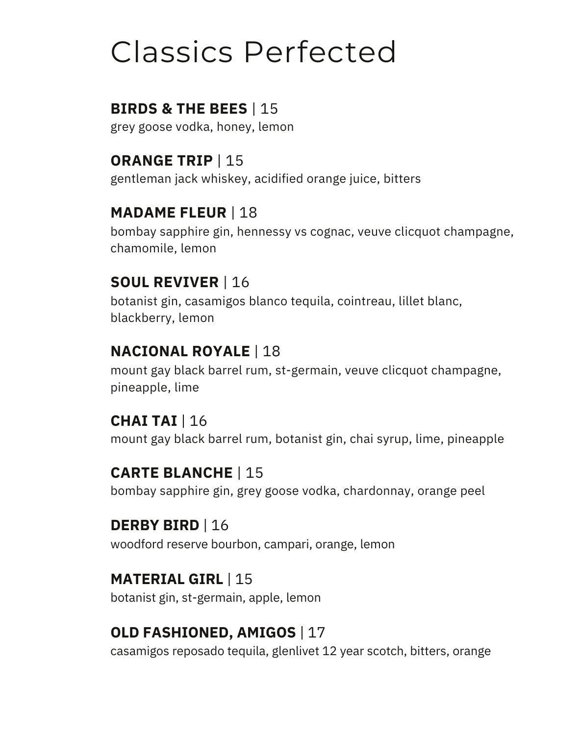# Classics Perfected

### **BIRDS & THE BEES** | 15

grey goose vodka, honey, lemon

### **ORANGE TRIP** | 15

gentleman jack whiskey, acidified orange juice, bitters

### **MADAME FLEUR** | 18

bombay sapphire gin, hennessy vs cognac, veuve clicquot champagne, chamomile, lemon

## **SOUL REVIVER** | 16

botanist gin, casamigos blanco tequila, cointreau, lillet blanc, blackberry, lemon

### **NACIONAL ROYALE** | 18

mount gay black barrel rum, st-germain, veuve clicquot champagne, pineapple, lime

### **CHAI TAI** | 16

mount gay black barrel rum, botanist gin, chai syrup, lime, pineapple

### **CARTE BLANCHE** | 15

bombay sapphire gin, grey goose vodka, chardonnay, orange peel

### **DERBY BIRD** | 16

woodford reserve bourbon, campari, orange, lemon

### **MATERIAL GIRL** | 15

botanist gin, st-germain, apple, lemon

## **OLD FASHIONED, AMIGOS** | 17

casamigos reposado tequila, glenlivet 12 year scotch, bitters, orange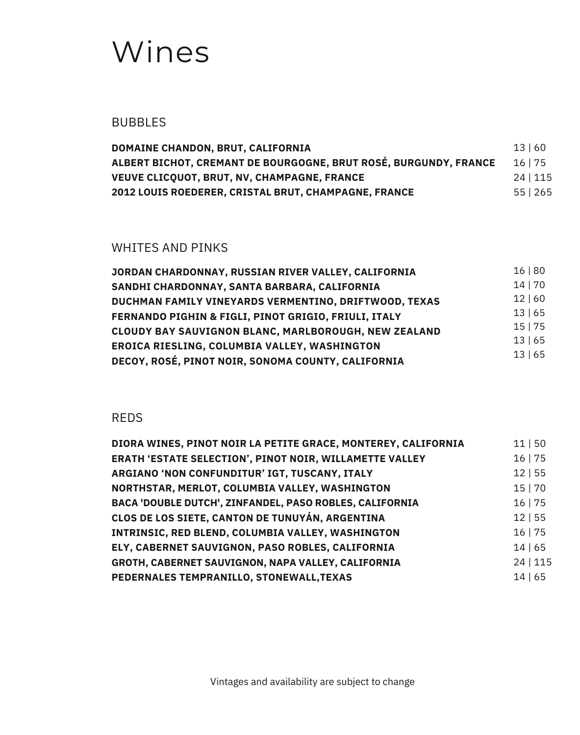# Wines

### BUBBLES

| DOMAINE CHANDON, BRUT, CALIFORNIA                                | 13 60    |
|------------------------------------------------------------------|----------|
| ALBERT BICHOT, CREMANT DE BOURGOGNE, BRUT ROSÉ, BURGUNDY, FRANCE | 16   75  |
| <b>VEUVE CLICOUOT, BRUT, NV, CHAMPAGNE, FRANCE</b>               | 24   115 |
| <b>2012 LOUIS ROEDERER. CRISTAL BRUT. CHAMPAGNE. FRANCE</b>      | 551265   |

### WHITES AND PINKS

| JORDAN CHARDONNAY, RUSSIAN RIVER VALLEY, CALIFORNIA   | 16 80   |
|-------------------------------------------------------|---------|
| SANDHI CHARDONNAY. SANTA BARBARA. CALIFORNIA          | 14   70 |
| DUCHMAN FAMILY VINEYARDS VERMENTINO. DRIFTWOOD. TEXAS | 12 60   |
| FERNANDO PIGHIN & FIGLI. PINOT GRIGIO. FRIULI. ITALY  | 13 65   |
| CLOUDY BAY SAUVIGNON BLANC. MARLBOROUGH. NEW ZEALAND  | 15 75   |
| EROICA RIESLING, COLUMBIA VALLEY, WASHINGTON          | 13 65   |
| DECOY, ROSÉ, PINOT NOIR, SONOMA COUNTY, CALIFORNIA    | 13 65   |
|                                                       |         |

### REDS

| 11   50 |
|---------|
| 16 75   |
| 12 55   |
| 15 70   |
| 16 75   |
| 12 55   |
| 16 75   |
| 14   65 |
| 24 115  |
| 14   65 |
|         |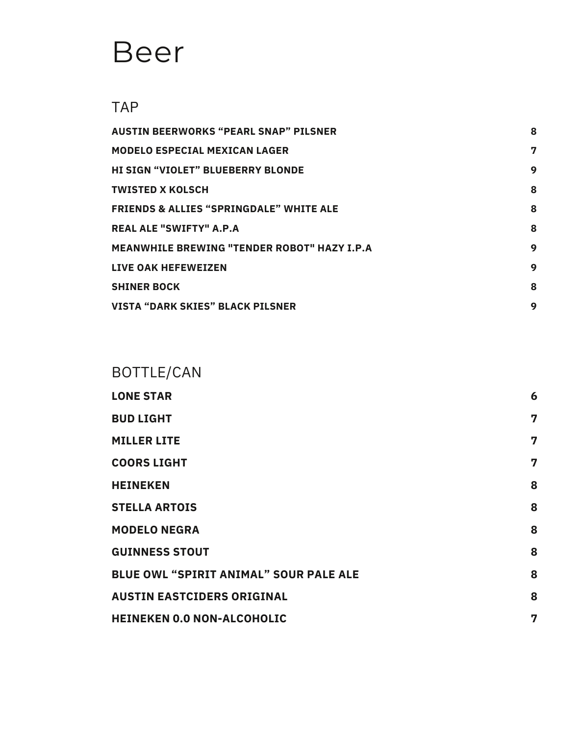# Beer

### TAP

| <b>AUSTIN BEERWORKS "PEARL SNAP" PILSNER</b>       | 8 |
|----------------------------------------------------|---|
| <b>MODELO ESPECIAL MEXICAN LAGER</b>               | 7 |
| <b>HI SIGN "VIOLET" BLUEBERRY BLONDE</b>           | 9 |
| <b>TWISTED X KOLSCH</b>                            | 8 |
| <b>FRIENDS &amp; ALLIES "SPRINGDALE" WHITE ALE</b> | 8 |
| <b>REAL ALE "SWIFTY" A.P.A</b>                     | 8 |
| <b>MEANWHILE BREWING "TENDER ROBOT" HAZY I.P.A</b> | 9 |
| LIVE OAK HEFEWEIZEN                                | 9 |
| <b>SHINER BOCK</b>                                 | 8 |
| <b>VISTA "DARK SKIES" BLACK PILSNER</b>            | 9 |

# BOTTLE/CAN

| <b>LONE STAR</b>                              | 6 |
|-----------------------------------------------|---|
| <b>BUD LIGHT</b>                              | 7 |
| <b>MILLER LITE</b>                            | 7 |
| <b>COORS LIGHT</b>                            | 7 |
| <b>HEINEKEN</b>                               | 8 |
| <b>STELLA ARTOIS</b>                          | 8 |
| <b>MODELO NEGRA</b>                           | 8 |
| <b>GUINNESS STOUT</b>                         | 8 |
| <b>BLUE OWL "SPIRIT ANIMAL" SOUR PALE ALE</b> | 8 |
| <b>AUSTIN EASTCIDERS ORIGINAL</b>             | 8 |
| <b>HEINEKEN 0.0 NON-ALCOHOLIC</b>             | 7 |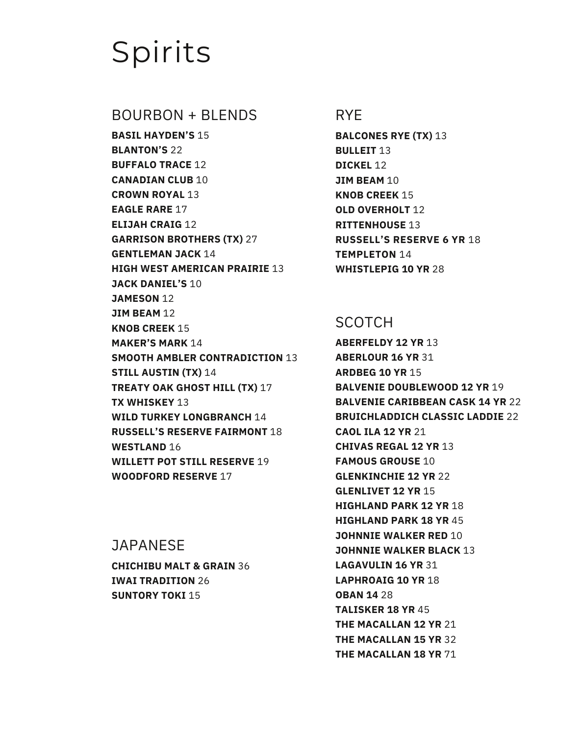# Spirits

#### BOURBON + BLENDS RYE

**BASIL HAYDEN'S** 15 **BLANTON'S** 22 **BUFFALO TRACE** 12 **CANADIAN CLUB** 10 **CROWN ROYAL** 13 **EAGLE RARE** 17 **ELIJAH CRAIG** 12 **GARRISON BROTHERS (TX)** 27 **GENTLEMAN JACK** 14 **HIGH WEST AMERICAN PRAIRIE** 13 **JACK DANIEL'S** 10 **JAMESON** 12 **JIM BEAM** 12 **KNOB CREEK** 15 **MAKER'S MARK** 14 **SMOOTH AMBLER CONTRADICTION** 13 **STILL AUSTIN (TX)** 14 **TREATY OAK GHOST HILL (TX)** 17 **TX WHISKEY** 13 **WILD TURKEY LONGBRANCH** 14 **RUSSELL'S RESERVE FAIRMONT** 18 **WESTLAND** 16 **WILLETT POT STILL RESERVE** 19 **WOODFORD RESERVE** 17

### **JAPANESE**

**CHICHIBU MALT & GRAIN** 36 **IWAI TRADITION** 26 **SUNTORY TOKI** 15

**BALCONES RYE (TX)** 13 **BULLEIT** 13 **DICKEL** 12 **JIM BEAM** 10 **KNOB CREEK** 15 **OLD OVERHOLT** 12 **RITTENHOUSE** 13 **RUSSELL'S RESERVE 6 YR** 18 **TEMPLETON** 14 **WHISTLEPIG 10 YR** 28

### **SCOTCH**

**ABERFELDY 12 YR** 13 **ABERLOUR 16 YR** 31 **ARDBEG 10 YR** 15 **BALVENIE DOUBLEWOOD 12 YR** 19 **BALVENIE CARIBBEAN CASK 14 YR** 22 **BRUICHLADDICH CLASSIC LADDIE** 22 **CAOL ILA 12 YR** 21 **CHIVAS REGAL 12 YR** 13 **FAMOUS GROUSE** 10 **GLENKINCHIE 12 YR** 22 **GLENLIVET 12 YR** 15 **HIGHLAND PARK 12 YR** 18 **HIGHLAND PARK 18 YR** 45 **JOHNNIE WALKER RED** 10 **JOHNNIE WALKER BLACK** 13 **LAGAVULIN 16 YR** 31 **LAPHROAIG 10 YR** 18 **OBAN 14** 28 **TALISKER 18 YR** 45 **THE MACALLAN 12 YR** 21 **THE MACALLAN 15 YR** 32 **THE MACALLAN 18 YR** 71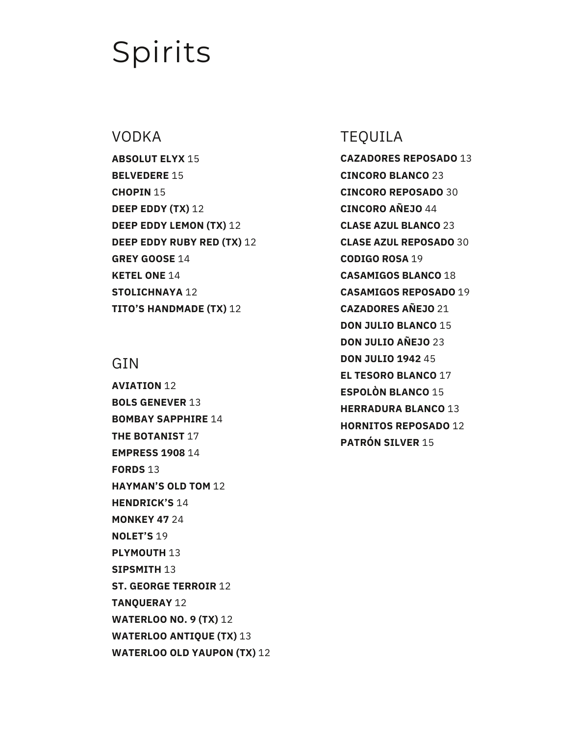# Spirits

**ABSOLUT ELYX** 15 **BELVEDERE** 15 **CHOPIN** 15 **DEEP EDDY (TX)** 12 **DEEP EDDY LEMON (TX)** 12 **DEEP EDDY RUBY RED (TX)** 12 **GREY GOOSE** 14 **KETEL ONE** 14 **STOLICHNAYA** 12 **TITO'S HANDMADE (TX)** 12

#### **GIN**

**AVIATION** 12 **BOLS GENEVER** 13 **BOMBAY SAPPHIRE** 14 **THE BOTANIST** 17 **EMPRESS 1908** 14 **FORDS** 13 **HAYMAN'S OLD TOM** 12 **HENDRICK'S** 14 **MONKEY 47** 24 **NOLET'S** 19 **PLYMOUTH** 13 **SIPSMITH** 13 **ST. GEORGE TERROIR** 12 **TANQUERAY** 12 **WATERLOO NO. 9 (TX)** 12 **WATERLOO ANTIQUE (TX)** 13 **WATERLOO OLD YAUPON (TX)** 12

### VODKA TEQUILA

**CAZADORES REPOSADO** 13 **CINCORO BLANCO** 23 **CINCORO REPOSADO** 30 **CINCORO AÑEJO** 44 **CLASE AZUL BLANCO** 23 **CLASE AZUL REPOSADO** 30 **CODIGO ROSA** 19 **CASAMIGOS BLANCO** 18 **CASAMIGOS REPOSADO** 19 **CAZADORES AÑEJO** 21 **DON JULIO BLANCO** 15 **DON JULIO AÑEJO** 23 **DON JULIO 1942** 45 **EL TESORO BLANCO** 17 **ESPOLÒN BLANCO** 15 **HERRADURA BLANCO** 13 **HORNITOS REPOSADO** 12 **PATRÓN SILVER** 15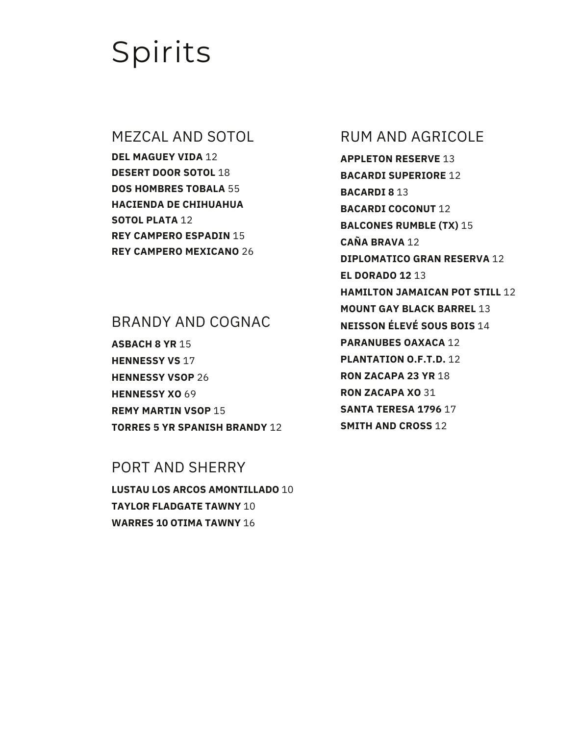# Spirits

### MEZCAL AND SOTOL

**DEL MAGUEY VIDA** 12 **DESERT DOOR SOTOL** 18 **DOS HOMBRES TOBALA** 55 **HACIENDA DE CHIHUAHUA SOTOL PLATA** 12 **REY CAMPERO ESPADIN** 15 **REY CAMPERO MEXICANO** 26

### BRANDY AND COGNAC

**ASBACH 8 YR** 15 **HENNESSY VS** 17 **HENNESSY VSOP** 26 **HENNESSY XO** 69 **REMY MARTIN VSOP** 15 **TORRES 5 YR SPANISH BRANDY** 12

### PORT AND SHERRY

**LUSTAU LOS ARCOS AMONTILLADO** 10 **TAYLOR FLADGATE TAWNY** 10 **WARRES 10 OTIMA TAWNY** 16

### RUM AND AGRICOLE

**APPLETON RESERVE** 13 **BACARDI SUPERIORE** 12 **BACARDI 8** 13 **BACARDI COCONUT** 12 **BALCONES RUMBLE (TX)** 15 **CAÑA BRAVA** 12 **DIPLOMATICO GRAN RESERVA** 12 **EL DORADO 12** 13 **HAMILTON JAMAICAN POT STILL** 12 **MOUNT GAY BLACK BARREL** 13 **NEISSON ÉLEVÉ SOUS BOIS** 14 **PARANUBES OAXACA** 12 **PLANTATION O.F.T.D.** 12 **RON ZACAPA 23 YR** 18 **RON ZACAPA XO** 31 **SANTA TERESA 1796** 17 **SMITH AND CROSS** 12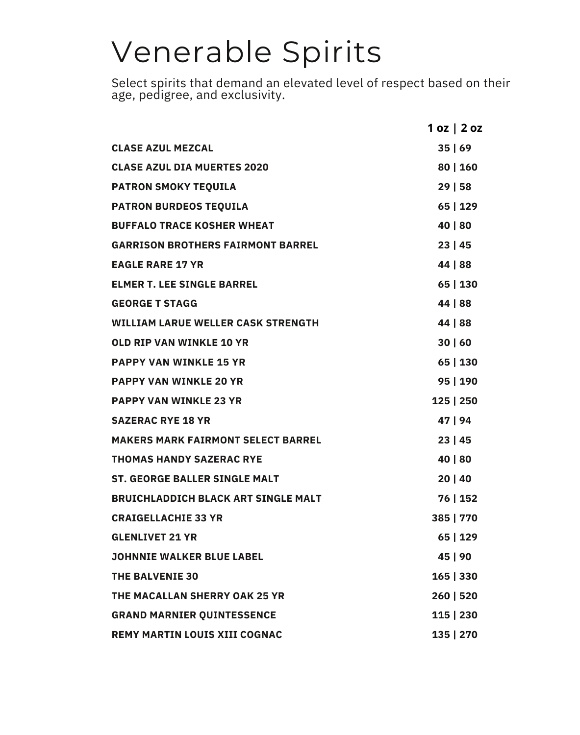# Venerable Spirits

Select spirits that demand an elevated level of respect based on their age, pedigree, and exclusivity.

|                                            | 1 oz   2 oz |
|--------------------------------------------|-------------|
| <b>CLASE AZUL MEZCAL</b>                   | 35 69       |
| <b>CLASE AZUL DIA MUERTES 2020</b>         | 80   160    |
| <b>PATRON SMOKY TEQUILA</b>                | 29 58       |
| <b>PATRON BURDEOS TEQUILA</b>              | 65   129    |
| <b>BUFFALO TRACE KOSHER WHEAT</b>          | 40   80     |
| <b>GARRISON BROTHERS FAIRMONT BARREL</b>   | 23 45       |
| <b>EAGLE RARE 17 YR</b>                    | 44   88     |
| <b>ELMER T. LEE SINGLE BARREL</b>          | 65   130    |
| <b>GEORGE T STAGG</b>                      | 44   88     |
| <b>WILLIAM LARUE WELLER CASK STRENGTH</b>  | 44   88     |
| <b>OLD RIP VAN WINKLE 10 YR</b>            | 30   60     |
| <b>PAPPY VAN WINKLE 15 YR</b>              | 65   130    |
| <b>PAPPY VAN WINKLE 20 YR</b>              | 95   190    |
| <b>PAPPY VAN WINKLE 23 YR</b>              | 125   250   |
| <b>SAZERAC RYE 18 YR</b>                   | 47   94     |
| <b>MAKERS MARK FAIRMONT SELECT BARREL</b>  | 23 45       |
| <b>THOMAS HANDY SAZERAC RYE</b>            | 40   80     |
| ST. GEORGE BALLER SINGLE MALT              | 20   40     |
| <b>BRUICHLADDICH BLACK ART SINGLE MALT</b> | 76   152    |
| <b>CRAIGELLACHIE 33 YR</b>                 | 385   770   |
| <b>GLENLIVET 21 YR</b>                     | 65   129    |
| <b>JOHNNIE WALKER BLUE LABEL</b>           | 45   90     |
| THE BALVENIE 30                            | $165$   330 |
| THE MACALLAN SHERRY OAK 25 YR              | 260   520   |
| <b>GRAND MARNIER QUINTESSENCE</b>          | 115   230   |
| <b>REMY MARTIN LOUIS XIII COGNAC</b>       | 135   270   |